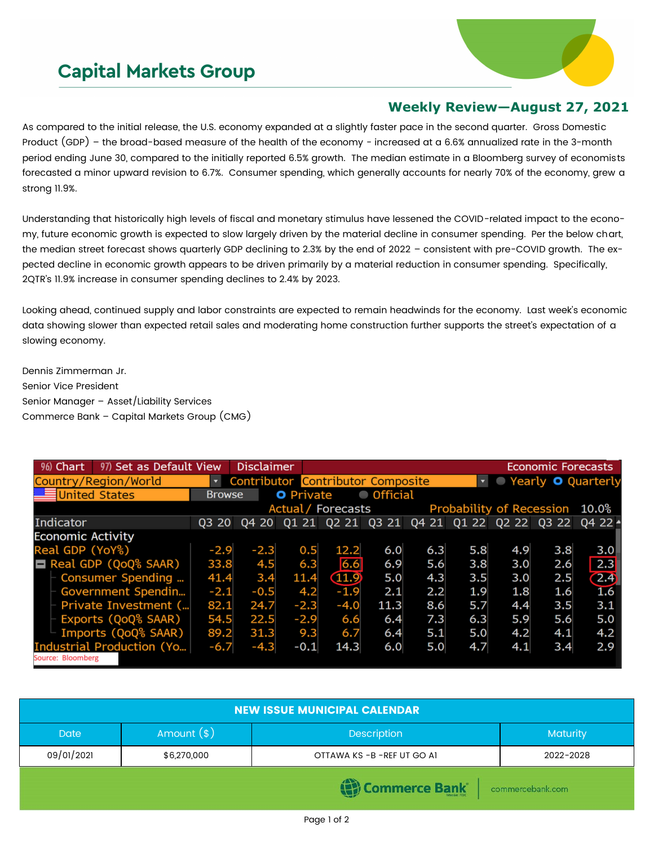## **Capital Markets Group**



## **Weekly Review—August 27, 2021**

As compared to the initial release, the U.S. economy expanded at a slightly faster pace in the second quarter. Gross Domestic Product (GDP) – the broad-based measure of the health of the economy - increased at a 6.6% annualized rate in the 3-month period ending June 30, compared to the initially reported 6.5% growth. The median estimate in a Bloomberg survey of economists forecasted a minor upward revision to 6.7%. Consumer spending, which generally accounts for nearly 70% of the economy, grew a strong 11.9%.

Understanding that historically high levels of fiscal and monetary stimulus have lessened the COVID-related impact to the economy, future economic growth is expected to slow largely driven by the material decline in consumer spending. Per the below chart, the median street forecast shows quarterly GDP declining to 2.3% by the end of 2022 – consistent with pre-COVID growth. The expected decline in economic growth appears to be driven primarily by a material reduction in consumer spending. Specifically, 2QTR's 11.9% increase in consumer spending declines to 2.4% by 2023.

Looking ahead, continued supply and labor constraints are expected to remain headwinds for the economy. Last week's economic data showing slower than expected retail sales and moderating home construction further supports the street's expectation of a slowing economy.

Dennis Zimmerman Jr. Senior Vice President Senior Manager – Asset/Liability Services Commerce Bank – Capital Markets Group (CMG)

| 97) Set as Default View<br>96) Chart |                      | <b>Disclaimer</b>                        |                  |                    |            |     |                                                 |     | <b>Economic Forecasts</b> |                      |
|--------------------------------------|----------------------|------------------------------------------|------------------|--------------------|------------|-----|-------------------------------------------------|-----|---------------------------|----------------------|
| Country/Region/World                 | $\blacktriangledown$ | <b>Contributor Contributor Composite</b> |                  |                    |            |     |                                                 |     |                           | ● Yearly ● Quarterly |
| United States                        | <b>Browse</b>        |                                          | <b>O</b> Private |                    | ● Official |     |                                                 |     |                           |                      |
|                                      |                      |                                          |                  | Actual / Forecasts |            |     | <b>Probability of Recession</b>                 |     |                           | $10.0\%$             |
| Indicator                            | Q3 20                |                                          |                  |                    |            |     | Q4 20 Q1 21 Q2 21 Q3 21 Q4 21 Q1 22 Q2 22 Q3 22 |     |                           | $0422 -$             |
| <b>Economic Activity</b>             |                      |                                          |                  |                    |            |     |                                                 |     |                           |                      |
| Real GDP (YoY%)                      | $-2.9$               | $-2.3$                                   | 0.5              | 12.2               | 6.0        | 6.3 | 5.8                                             | 4.9 | 3.8                       | 3.0                  |
| $\blacksquare$ Real GDP (QoQ% SAAR)  | 33.8                 | 4.5                                      | 6.3              | 6.6                | 6.9        | 5.6 | 3.8                                             | 3.0 | 2.6                       | 2.3                  |
| Consumer Spending                    | 41.4                 | 3.4                                      | 11.4             | (11.9)             | 5.0        | 4.3 | 3.5                                             | 3.0 | 2.5                       | (2.4)                |
| Government Spendin                   | $-2.1$               | $-0.5$                                   | 4.2              | $-1.9$             | 2.1        | 2.2 | 1.9                                             | 1.8 | 1.6                       | 1.6                  |
| Private Investment (                 | 82.1                 | 24.7                                     | $-2.3$           | $-4.0$             | 11.3       | 8.6 | 5.7                                             | 4.4 | 3.5                       | 3.1                  |
| Exports (QoQ% SAAR)                  | 54.5                 | 22.5                                     | $-2.9$           | 6.6                | 6.4        | 7.3 | 6.3                                             | 5.9 | 5.6                       | 5.0                  |
| Imports (QoQ% SAAR)                  | 89.2                 | 31.3                                     | 9.3              | 6.7                | 6.4        | 5.1 | 5.0                                             | 4.2 | 4.1                       | 4.2                  |
| Industrial Production (Yo            | $-6.7$               | $-4.3$                                   | $-0.1$           | 14.3               | 6.0        | 5.0 | 4.7                                             | 4.1 | 3.4                       | 2.9                  |
| Source: Bloomberg                    |                      |                                          |                  |                    |            |     |                                                 |     |                           |                      |

| <b>NEW ISSUE MUNICIPAL CALENDAR</b> |              |                            |                 |  |  |  |  |
|-------------------------------------|--------------|----------------------------|-----------------|--|--|--|--|
| <b>Date</b>                         | Amount $(*)$ | <b>Description</b>         | <b>Maturity</b> |  |  |  |  |
| 09/01/2021                          | \$6,270,000  | OTTAWA KS -B -REF UT GO AI | 2022-2028       |  |  |  |  |
| Commerce Bank<br>commercebank.com   |              |                            |                 |  |  |  |  |